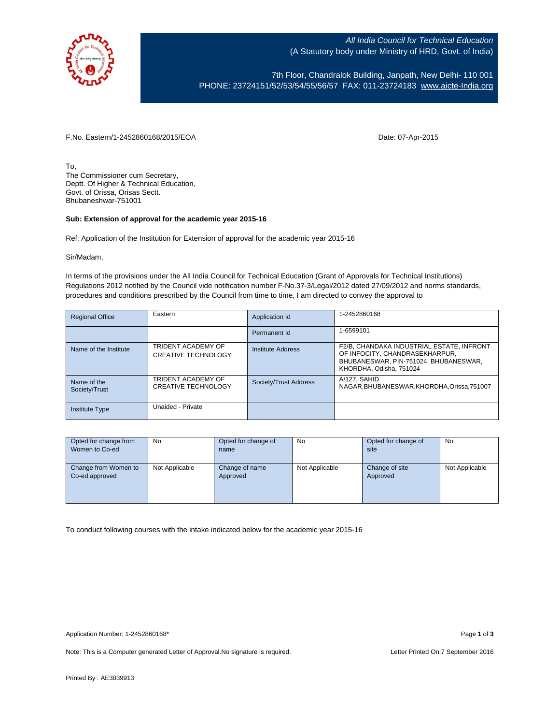

All India Council for Technical Education (A Statutory body under Ministry of HRD, Govt. of India)

7th Floor, Chandralok Building, Janpath, New Delhi- 110 001 PHONE: 23724151/52/53/54/55/56/57 FAX: 011-23724183 [www.aicte-India.org](http://www.aicte-india.org/)

F.No. Eastern/1-2452860168/2015/EOA Date: 07-Apr-2015

To, The Commissioner cum Secretary, Deptt. Of Higher & Technical Education, Govt. of Orissa, Orisas Sectt. Bhubaneshwar-751001

## **Sub: Extension of approval for the academic year 2015-16**

Ref: Application of the Institution for Extension of approval for the academic year 2015-16

Sir/Madam,

In terms of the provisions under the All India Council for Technical Education (Grant of Approvals for Technical Institutions) Regulations 2012 notified by the Council vide notification number F-No.37-3/Legal/2012 dated 27/09/2012 and norms standards, procedures and conditions prescribed by the Council from time to time, I am directed to convey the approval to

| <b>Regional Office</b>       | Eastern                                                 | Application Id        | 1-2452860168                                                                                                                                    |
|------------------------------|---------------------------------------------------------|-----------------------|-------------------------------------------------------------------------------------------------------------------------------------------------|
|                              |                                                         | Permanent Id          | 1-6599101                                                                                                                                       |
| Name of the Institute        | <b>TRIDENT ACADEMY OF</b><br><b>CREATIVE TECHNOLOGY</b> | Institute Address     | F2/B, CHANDAKA INDUSTRIAL ESTATE, INFRONT<br>OF INFOCITY, CHANDRASEKHARPUR,<br>BHUBANESWAR, PIN-751024, BHUBANESWAR,<br>KHORDHA, Odisha, 751024 |
| Name of the<br>Society/Trust | TRIDENT ACADEMY OF<br><b>CREATIVE TECHNOLOGY</b>        | Society/Trust Address | A/127, SAHID<br>NAGAR.BHUBANESWAR.KHORDHA.Orissa.751007                                                                                         |
| Institute Type               | Unaided - Private                                       |                       |                                                                                                                                                 |

| Opted for change from | No             | Opted for change of | <b>No</b>      | Opted for change of | <b>No</b>      |
|-----------------------|----------------|---------------------|----------------|---------------------|----------------|
| Women to Co-ed        |                | name                |                | site                |                |
|                       |                |                     |                |                     |                |
| Change from Women to  | Not Applicable | Change of name      | Not Applicable | Change of site      | Not Applicable |
| Co-ed approved        |                | Approved            |                | Approved            |                |
|                       |                |                     |                |                     |                |
|                       |                |                     |                |                     |                |
|                       |                |                     |                |                     |                |

To conduct following courses with the intake indicated below for the academic year 2015-16

Application Number: 1-2452860168\* Page **1** of **3**

Note: This is a Computer generated Letter of Approval.No signature is required. Letter Printed On:7 September 2016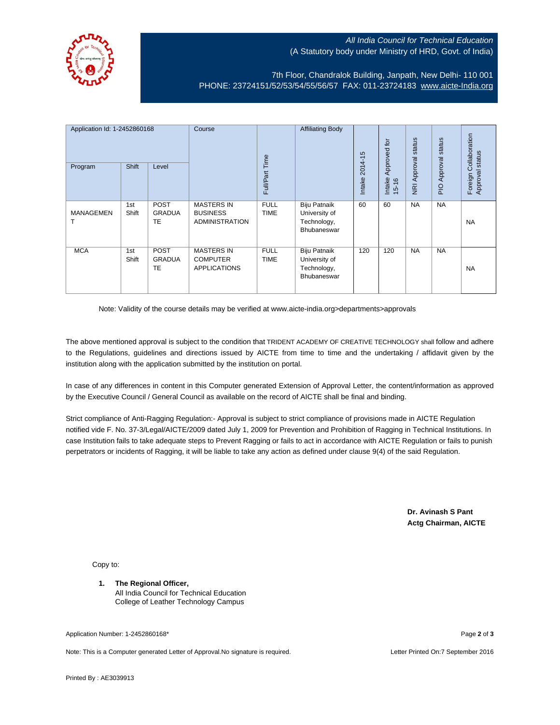

## All India Council for Technical Education (A Statutory body under Ministry of HRD, Govt. of India)

7th Floor, Chandralok Building, Janpath, New Delhi- 110 001 PHONE: 23724151/52/53/54/55/56/57 FAX: 011-23724183 [www.aicte-India.org](http://www.aicte-india.org/)

| Application Id: 1-2452860168<br>Program | <b>Shift</b> | Level                                     | Course                                                        | Full/Part Time             | <b>Affiliating Body</b>                                     | $2014 - 15$<br>Intake | Approved for<br>Intake<br>$15 - 16$ | status<br>NRI Approval | status<br>Approval<br>$\frac{Q}{\overline{D}}$ | Collaboration<br>status<br>Approval<br>Foreign |
|-----------------------------------------|--------------|-------------------------------------------|---------------------------------------------------------------|----------------------------|-------------------------------------------------------------|-----------------------|-------------------------------------|------------------------|------------------------------------------------|------------------------------------------------|
| <b>MANAGEMEN</b>                        | 1st<br>Shift | <b>POST</b><br><b>GRADUA</b><br>TE        | <b>MASTERS IN</b><br><b>BUSINESS</b><br><b>ADMINISTRATION</b> | <b>FULL</b><br><b>TIME</b> | Biju Patnaik<br>University of<br>Technology,<br>Bhubaneswar | 60                    | 60                                  | <b>NA</b>              | <b>NA</b>                                      | <b>NA</b>                                      |
| <b>MCA</b>                              | 1st<br>Shift | <b>POST</b><br><b>GRADUA</b><br><b>TE</b> | <b>MASTERS IN</b><br><b>COMPUTER</b><br><b>APPLICATIONS</b>   | <b>FULL</b><br><b>TIME</b> | Biju Patnaik<br>University of<br>Technology,<br>Bhubaneswar | 120                   | 120                                 | <b>NA</b>              | <b>NA</b>                                      | <b>NA</b>                                      |

Note: Validity of the course details may be verified at www.aicte-india.org>departments>approvals

The above mentioned approval is subject to the condition that TRIDENT ACADEMY OF CREATIVE TECHNOLOGY shall follow and adhere to the Regulations, guidelines and directions issued by AICTE from time to time and the undertaking / affidavit given by the institution along with the application submitted by the institution on portal.

In case of any differences in content in this Computer generated Extension of Approval Letter, the content/information as approved by the Executive Council / General Council as available on the record of AICTE shall be final and binding.

Strict compliance of Anti-Ragging Regulation:- Approval is subject to strict compliance of provisions made in AICTE Regulation notified vide F. No. 37-3/Legal/AICTE/2009 dated July 1, 2009 for Prevention and Prohibition of Ragging in Technical Institutions. In case Institution fails to take adequate steps to Prevent Ragging or fails to act in accordance with AICTE Regulation or fails to punish perpetrators or incidents of Ragging, it will be liable to take any action as defined under clause 9(4) of the said Regulation.

> **Dr. Avinash S Pant Actg Chairman, AICTE**

Copy to:

**1. The Regional Officer,** All India Council for Technical Education College of Leather Technology Campus

Application Number: 1-2452860168\* Page **2** of **3**

Note: This is a Computer generated Letter of Approval.No signature is required. Letter Printed On:7 September 2016